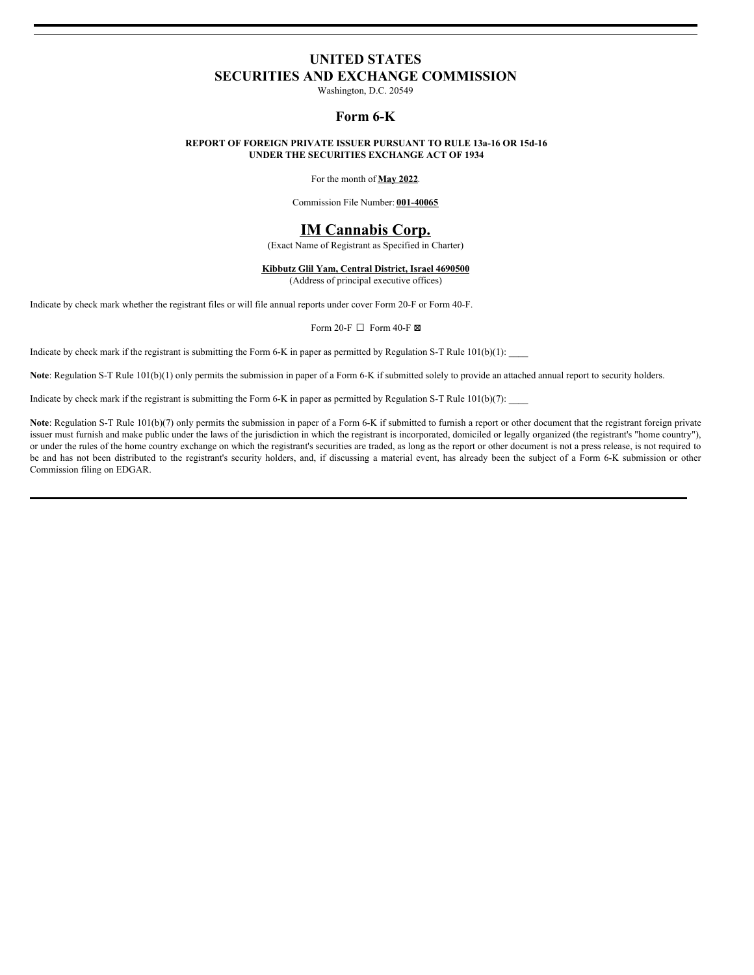# **UNITED STATES**

**SECURITIES AND EXCHANGE COMMISSION**

Washington, D.C. 20549

## **Form 6-K**

#### **REPORT OF FOREIGN PRIVATE ISSUER PURSUANT TO RULE 13a-16 OR 15d-16 UNDER THE SECURITIES EXCHANGE ACT OF 1934**

For the month of **May 2022**.

Commission File Number: **001-40065**

# **IM Cannabis Corp.**

(Exact Name of Registrant as Specified in Charter)

#### **Kibbutz Glil Yam, Central District, Israel 4690500**

(Address of principal executive offices)

Indicate by check mark whether the registrant files or will file annual reports under cover Form 20-F or Form 40-F.

Form 20-F  $\Box$  Form 40-F  $\boxtimes$ 

Indicate by check mark if the registrant is submitting the Form 6-K in paper as permitted by Regulation S-T Rule  $101(b)(1)$ :

Note: Regulation S-T Rule 101(b)(1) only permits the submission in paper of a Form 6-K if submitted solely to provide an attached annual report to security holders.

Indicate by check mark if the registrant is submitting the Form 6-K in paper as permitted by Regulation S-T Rule  $101(b)(7)$ :

**Note**: Regulation S-T Rule 101(b)(7) only permits the submission in paper of a Form 6-K if submitted to furnish a report or other document that the registrant foreign private issuer must furnish and make public under the laws of the jurisdiction in which the registrant is incorporated, domiciled or legally organized (the registrant's "home country"), or under the rules of the home country exchange on which the registrant's securities are traded, as long as the report or other document is not a press release, is not required to be and has not been distributed to the registrant's security holders, and, if discussing a material event, has already been the subject of a Form 6-K submission or other Commission filing on EDGAR.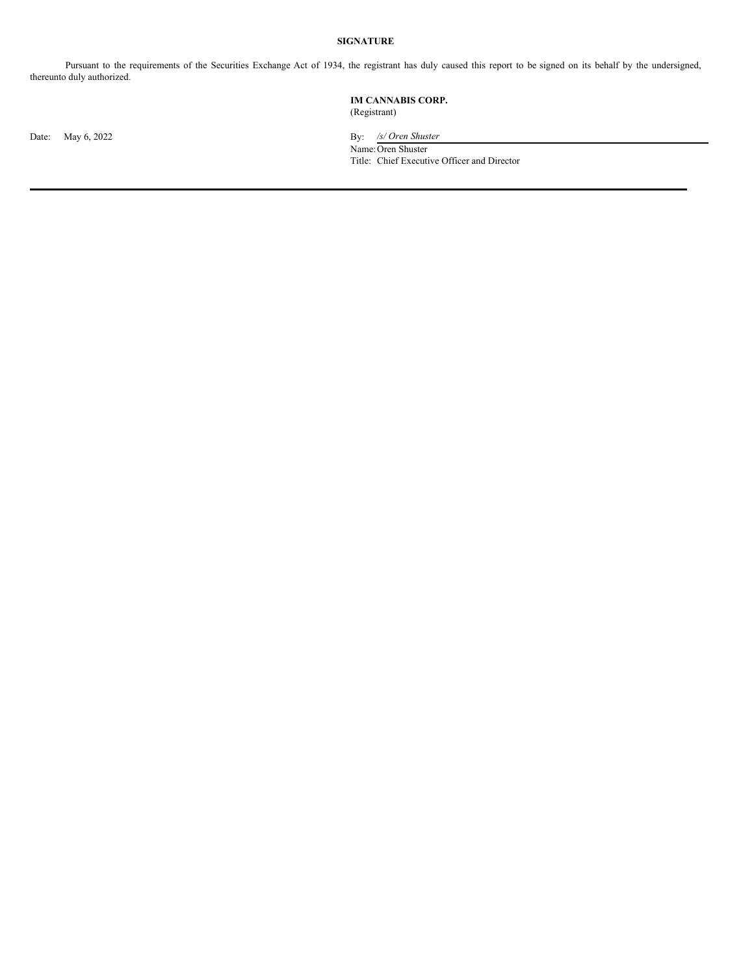# **SIGNATURE**

Pursuant to the requirements of the Securities Exchange Act of 1934, the registrant has duly caused this report to be signed on its behalf by the undersigned, thereunto duly authorized.

### **IM CANNABIS CORP.** (Registrant)

Date: May 6, 2022 By: */s/ Oren Shuster* Name:Oren Shuster Title: Chief Executive Officer and Director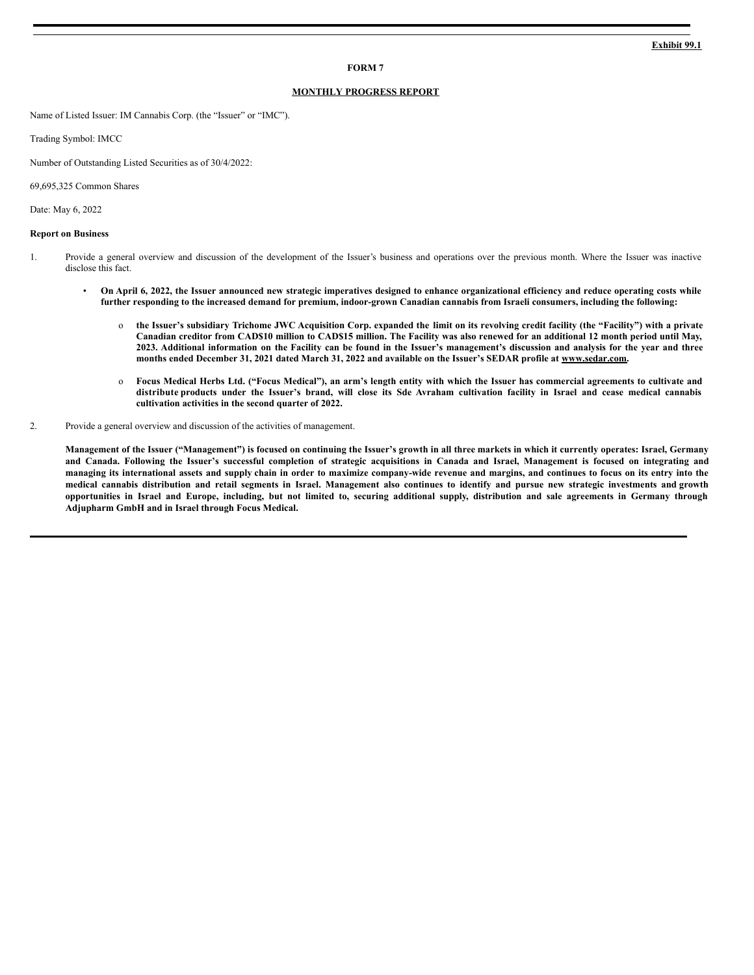#### **FORM 7**

#### **MONTHLY PROGRESS REPORT**

Name of Listed Issuer: IM Cannabis Corp. (the "Issuer" or "IMC").

Trading Symbol: IMCC

Number of Outstanding Listed Securities as of 30/4/2022:

69,695,325 Common Shares

Date: May 6, 2022

#### **Report on Business**

- 1. Provide a general overview and discussion of the development of the Issuer's business and operations over the previous month. Where the Issuer was inactive disclose this fact.
	- On April 6, 2022, the Issuer announced new strategic imperatives designed to enhance organizational efficiency and reduce operating costs while further responding to the increased demand for premium, indoor-grown Canadian cannabis from Israeli consumers, including the following:
		- o the Issuer's subsidiary Trichome JWC Acquisition Corp. expanded the limit on its revolving credit facility (the "Facility") with a private Canadian creditor from CAD\$10 million to CAD\$15 million. The Facility was also renewed for an additional 12 month period until May, 2023. Additional information on the Facility can be found in the Issuer's management's discussion and analysis for the year and three months ended December 31, 2021 dated March 31, 2022 and available on the Issuer's SEDAR profile at www.sedar.com.
		- o Focus Medical Herbs Ltd. ("Focus Medical"), an arm's length entity with which the Issuer has commercial agreements to cultivate and distribute products under the Issuer's brand, will close its Sde Avraham cultivation facility in Israel and cease medical cannabis **cultivation activities in the second quarter of 2022.**
- 2. Provide a general overview and discussion of the activities of management.

Management of the Issuer ("Management") is focused on continuing the Issuer's growth in all three markets in which it currently operates: Israel, Germany and Canada. Following the Issuer's successful completion of strategic acquisitions in Canada and Israel, Management is focused on integrating and managing its international assets and supply chain in order to maximize company-wide revenue and margins, and continues to focus on its entry into the medical cannabis distribution and retail segments in Israel. Management also continues to identify and pursue new strategic investments and growth opportunities in Israel and Europe, including, but not limited to, securing additional supply, distribution and sale agreements in Germany through **Adjupharm GmbH and in Israel through Focus Medical.**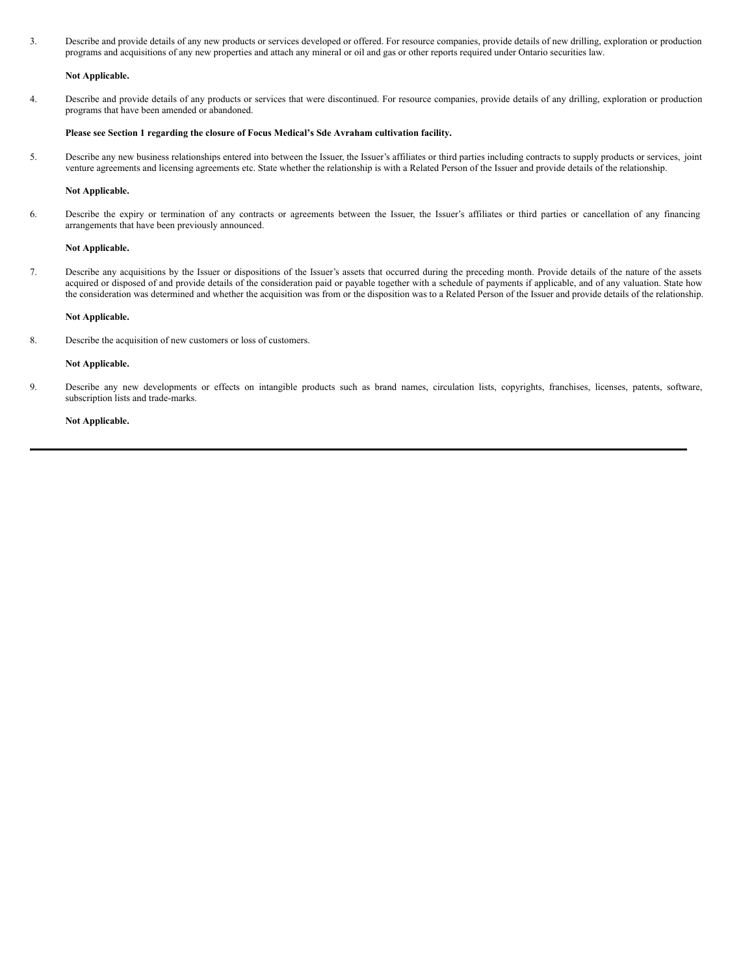3. Describe and provide details of any new products or services developed or offered. For resource companies, provide details of new drilling, exploration or production programs and acquisitions of any new properties and attach any mineral or oil and gas or other reports required under Ontario securities law.

#### **Not Applicable.**

4. Describe and provide details of any products or services that were discontinued. For resource companies, provide details of any drilling, exploration or production programs that have been amended or abandoned.

#### **Please see Section 1 regarding the closure of Focus Medical's Sde Avraham cultivation facility.**

5. Describe any new business relationships entered into between the Issuer, the Issuer's affiliates or third parties including contracts to supply products or services, joint venture agreements and licensing agreements etc. State whether the relationship is with a Related Person of the Issuer and provide details of the relationship.

#### **Not Applicable.**

6. Describe the expiry or termination of any contracts or agreements between the Issuer, the Issuer's affiliates or third parties or cancellation of any financing arrangements that have been previously announced.

#### **Not Applicable.**

7. Describe any acquisitions by the Issuer or dispositions of the Issuer's assets that occurred during the preceding month. Provide details of the nature of the assets acquired or disposed of and provide details of the consideration paid or payable together with a schedule of payments if applicable, and of any valuation. State how the consideration was determined and whether the acquisition was from or the disposition was to a Related Person of the Issuer and provide details of the relationship.

#### **Not Applicable.**

8. Describe the acquisition of new customers or loss of customers.

#### **Not Applicable.**

9. Describe any new developments or effects on intangible products such as brand names, circulation lists, copyrights, franchises, licenses, patents, software, subscription lists and trade-marks.

#### **Not Applicable.**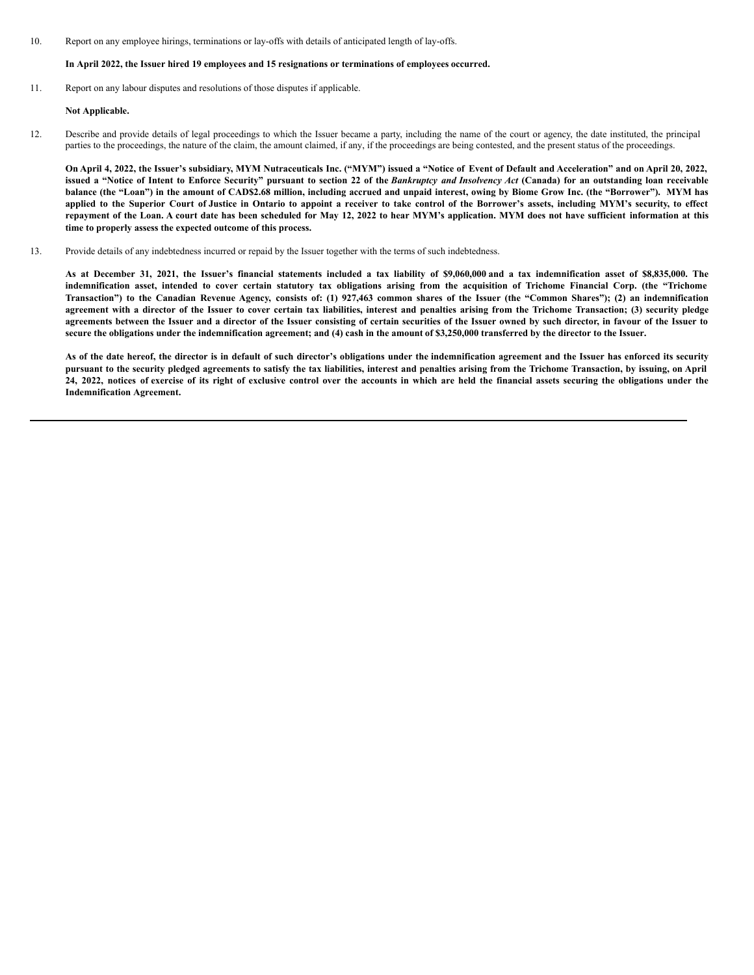<span id="page-5-0"></span>10. Report on any employee hirings, terminations or lay-offs with details of anticipated length of lay-offs.

#### **In April 2022, the Issuer hired 19 employees and 15 resignations or terminations of employees occurred.**

11. Report on any labour disputes and resolutions of those disputes if applicable.

#### **Not Applicable.**

12. Describe and provide details of legal proceedings to which the Issuer became a party, including the name of the court or agency, the date instituted, the principal parties to the proceedings, the nature of the claim, the amount claimed, if any, if the proceedings are being contested, and the present status of the proceedings.

On April 4, 2022, the Issuer's subsidiary, MYM Nutraceuticals Inc. ("MYM") issued a "Notice of Event of Default and Acceleration" and on April 20, 2022, issued a "Notice of Intent to Enforce Security" pursuant to section 22 of the Bankruptcy and Insolvency Act (Canada) for an outstanding loan receivable balance (the "Loan") in the amount of CAD\$2.68 million, including accrued and unpaid interest, owing by Biome Grow Inc. (the "Borrower"). MYM has applied to the Superior Court of Justice in Ontario to appoint a receiver to take control of the Borrower's assets, including MYM's security, to effect repayment of the Loan. A court date has been scheduled for May 12, 2022 to hear MYM's application. MYM does not have sufficient information at this **time to properly assess the expected outcome of this process.**

13. Provide details of any indebtedness incurred or repaid by the Issuer together with the terms of such indebtedness.

As at December 31, 2021, the Issuer's financial statements included a tax liability of \$9,060,000 and a tax indemnification asset of \$8,835,000. The indemnification asset, intended to cover certain statutory tax obligations arising from the acquisition of Trichome Financial Corp. (the "Trichome Transaction") to the Canadian Revenue Agency, consists of: (1) 927,463 common shares of the Issuer (the "Common Shares"); (2) an indemnification agreement with a director of the Issuer to cover certain tax liabilities, interest and penalties arising from the Trichome Transaction; (3) security pledge agreements between the Issuer and a director of the Issuer consisting of certain securities of the Issuer owned by such director, in favour of the Issuer to secure the obligations under the indemnification agreement; and (4) cash in the amount of \$3,250,000 transferred by the director to the Issuer.

As of the date hereof, the director is in default of such director's obligations under the indemnification agreement and the Issuer has enforced its security pursuant to the security pledged agreements to satisfy the tax liabilities, interest and penalties arising from the Trichome Transaction, by issuing, on April 24, 2022, notices of exercise of its right of exclusive control over the accounts in which are held the financial assets securing the obligations under the **Indemnification Agreement.**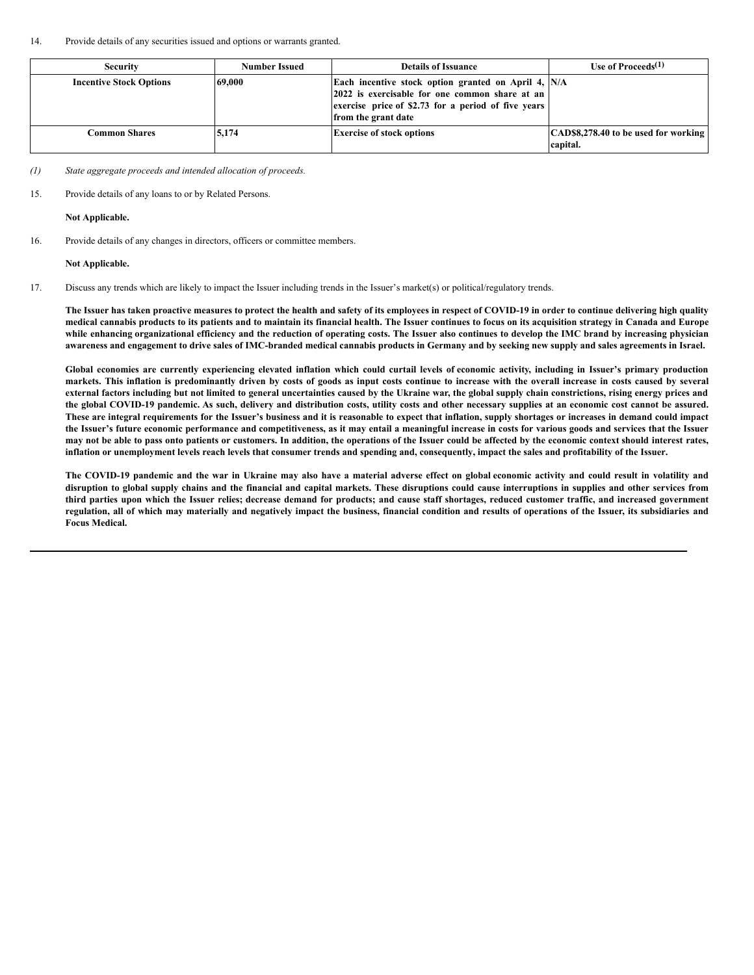#### 14. Provide details of any securities issued and options or warrants granted.

| <b>Security</b>                | <b>Number Issued</b> | <b>Details of Issuance</b>                                                                                                                                                           | Use of Proceeds $(1)$                            |
|--------------------------------|----------------------|--------------------------------------------------------------------------------------------------------------------------------------------------------------------------------------|--------------------------------------------------|
| <b>Incentive Stock Options</b> | 69,000               | Each incentive stock option granted on April 4, N/A<br>[2022 is exercisable for one common share at an<br>exercise price of \$2.73 for a period of five years<br>from the grant date |                                                  |
| Common Shares                  | 5.174                | <b>Exercise of stock options</b>                                                                                                                                                     | CAD\$8,278.40 to be used for working<br>capital. |

*(1) State aggregate proceeds and intended allocation of proceeds.*

15. Provide details of any loans to or by Related Persons.

**Not Applicable.**

16. Provide details of any changes in directors, officers or committee members.

**Not Applicable.**

17. Discuss any trends which are likely to impact the Issuer including trends in the Issuer's market(s) or political/regulatory trends.

The Issuer has taken proactive measures to protect the health and safety of its employees in respect of COVID-19 in order to continue delivering high quality medical cannabis products to its patients and to maintain its financial health. The Issuer continues to focus on its acquisition strategy in Canada and Europe while enhancing organizational efficiency and the reduction of operating costs. The Issuer also continues to develop the IMC brand by increasing physician awareness and engagement to drive sales of IMC-branded medical cannabis products in Germany and by seeking new supply and sales agreements in Israel.

Global economies are currently experiencing elevated inflation which could curtail levels of economic activity, including in Issuer's primary production markets. This inflation is predominantly driven by costs of goods as input costs continue to increase with the overall increase in costs caused by several external factors including but not limited to general uncertainties caused by the Ukraine war, the global supply chain constrictions, rising energy prices and the global COVID-19 pandemic. As such, delivery and distribution costs, utility costs and other necessary supplies at an economic cost cannot be assured. These are integral requirements for the Issuer's business and it is reasonable to expect that inflation, supply shortages or increases in demand could impact the Issuer's future economic performance and competitiveness, as it may entail a meaningful increase in costs for various goods and services that the Issuer may not be able to pass onto patients or customers. In addition, the operations of the Issuer could be affected by the economic context should interest rates, inflation or unemployment levels reach levels that consumer trends and spending and, consequently, impact the sales and profitability of the Issuer.

The COVID-19 pandemic and the war in Ukraine may also have a material adverse effect on global economic activity and could result in volatility and disruption to global supply chains and the financial and capital markets. These disruptions could cause interruptions in supplies and other services from third parties upon which the Issuer relies; decrease demand for products; and cause staff shortages, reduced customer traffic, and increased government regulation, all of which may materially and negatively impact the business, financial condition and results of operations of the Issuer, its subsidiaries and **Focus Medical.**